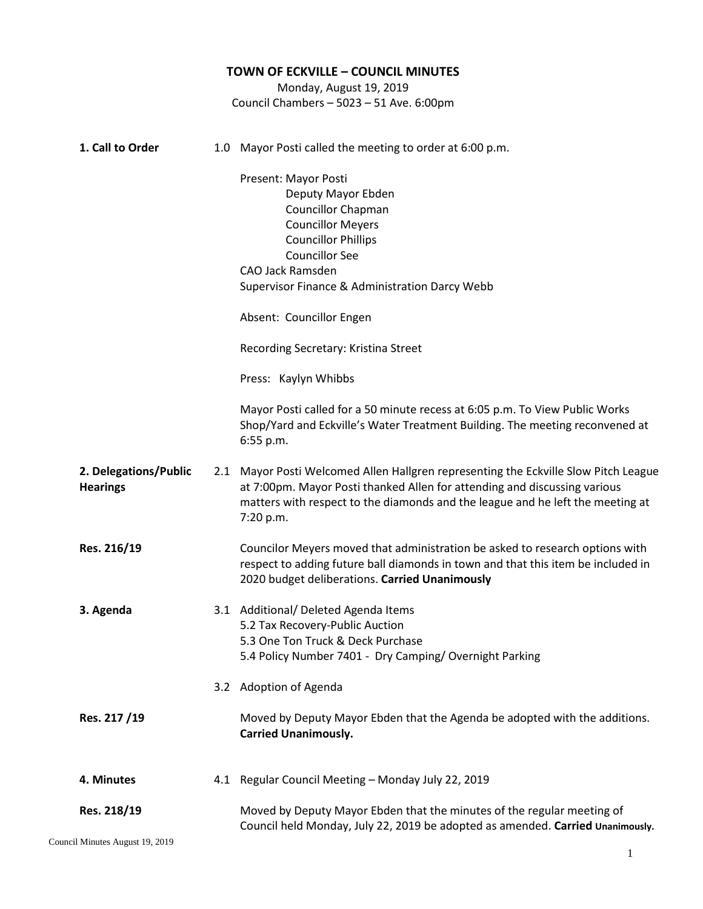|                       | <b>TOWN OF ECKVILLE - COUNCIL MINUTES</b>                                                                                                                                |
|-----------------------|--------------------------------------------------------------------------------------------------------------------------------------------------------------------------|
|                       | Monday, August 19, 2019                                                                                                                                                  |
|                       | Council Chambers - 5023 - 51 Ave. 6:00pm                                                                                                                                 |
|                       |                                                                                                                                                                          |
| 1. Call to Order      | 1.0 Mayor Posti called the meeting to order at 6:00 p.m.                                                                                                                 |
|                       | Present: Mayor Posti                                                                                                                                                     |
|                       | Deputy Mayor Ebden                                                                                                                                                       |
|                       | <b>Councillor Chapman</b>                                                                                                                                                |
|                       | <b>Councillor Meyers</b>                                                                                                                                                 |
|                       | <b>Councillor Phillips</b>                                                                                                                                               |
|                       | <b>Councillor See</b>                                                                                                                                                    |
|                       | <b>CAO Jack Ramsden</b>                                                                                                                                                  |
|                       | Supervisor Finance & Administration Darcy Webb                                                                                                                           |
|                       | Absent: Councillor Engen                                                                                                                                                 |
|                       | Recording Secretary: Kristina Street                                                                                                                                     |
|                       | Press: Kaylyn Whibbs                                                                                                                                                     |
|                       | Mayor Posti called for a 50 minute recess at 6:05 p.m. To View Public Works                                                                                              |
|                       | Shop/Yard and Eckville's Water Treatment Building. The meeting reconvened at<br>6:55 p.m.                                                                                |
| 2. Delegations/Public | 2.1 Mayor Posti Welcomed Allen Hallgren representing the Eckville Slow Pitch League                                                                                      |
| <b>Hearings</b>       | at 7:00pm. Mayor Posti thanked Allen for attending and discussing various<br>matters with respect to the diamonds and the league and he left the meeting at<br>7:20 p.m. |
|                       |                                                                                                                                                                          |
| Res. 216/19           | Councilor Meyers moved that administration be asked to research options with                                                                                             |
|                       | respect to adding future ball diamonds in town and that this item be included in<br>2020 budget deliberations. Carried Unanimously                                       |
| 3. Agenda             | 3.1 Additional/ Deleted Agenda Items                                                                                                                                     |
|                       | 5.2 Tax Recovery-Public Auction                                                                                                                                          |
|                       | 5.3 One Ton Truck & Deck Purchase                                                                                                                                        |
|                       | 5.4 Policy Number 7401 - Dry Camping/ Overnight Parking                                                                                                                  |
|                       | 3.2 Adoption of Agenda                                                                                                                                                   |
| Res. 217/19           | Moved by Deputy Mayor Ebden that the Agenda be adopted with the additions.<br><b>Carried Unanimously.</b>                                                                |
| 4. Minutes            | 4.1 Regular Council Meeting - Monday July 22, 2019                                                                                                                       |
| Res. 218/19           | Moved by Deputy Mayor Ebden that the minutes of the regular meeting of<br>Council held Monday, July 22, 2019 be adopted as amended. Carried Unanimously.                 |

Council Minutes August 19, 2019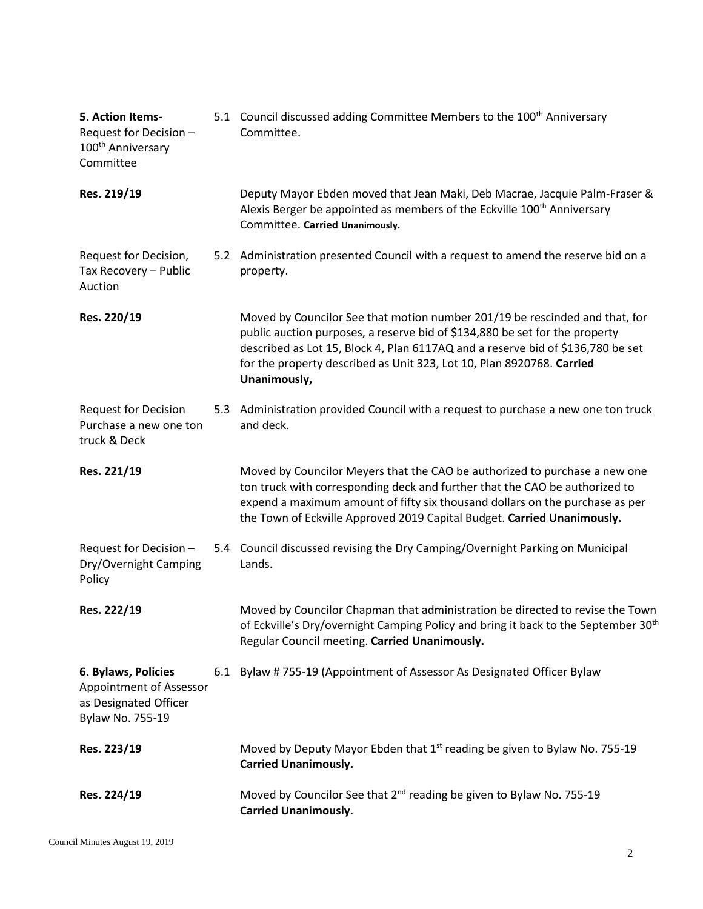| 5. Action Items-<br>Request for Decision -<br>100 <sup>th</sup> Anniversary<br>Committee    | 5.1 Council discussed adding Committee Members to the 100 <sup>th</sup> Anniversary<br>Committee.                                                                                                                                                                                                                                      |
|---------------------------------------------------------------------------------------------|----------------------------------------------------------------------------------------------------------------------------------------------------------------------------------------------------------------------------------------------------------------------------------------------------------------------------------------|
| Res. 219/19                                                                                 | Deputy Mayor Ebden moved that Jean Maki, Deb Macrae, Jacquie Palm-Fraser &<br>Alexis Berger be appointed as members of the Eckville 100 <sup>th</sup> Anniversary<br>Committee. Carried Unanimously.                                                                                                                                   |
| Request for Decision,<br>Tax Recovery - Public<br>Auction                                   | 5.2 Administration presented Council with a request to amend the reserve bid on a<br>property.                                                                                                                                                                                                                                         |
| Res. 220/19                                                                                 | Moved by Councilor See that motion number 201/19 be rescinded and that, for<br>public auction purposes, a reserve bid of \$134,880 be set for the property<br>described as Lot 15, Block 4, Plan 6117AQ and a reserve bid of \$136,780 be set<br>for the property described as Unit 323, Lot 10, Plan 8920768. Carried<br>Unanimously, |
| <b>Request for Decision</b><br>Purchase a new one ton<br>truck & Deck                       | 5.3 Administration provided Council with a request to purchase a new one ton truck<br>and deck.                                                                                                                                                                                                                                        |
| Res. 221/19                                                                                 | Moved by Councilor Meyers that the CAO be authorized to purchase a new one<br>ton truck with corresponding deck and further that the CAO be authorized to<br>expend a maximum amount of fifty six thousand dollars on the purchase as per<br>the Town of Eckville Approved 2019 Capital Budget. Carried Unanimously.                   |
| Request for Decision -<br>Dry/Overnight Camping<br>Policy                                   | 5.4 Council discussed revising the Dry Camping/Overnight Parking on Municipal<br>Lands.                                                                                                                                                                                                                                                |
| Res. 222/19                                                                                 | Moved by Councilor Chapman that administration be directed to revise the Town<br>of Eckville's Dry/overnight Camping Policy and bring it back to the September 30 <sup>th</sup><br>Regular Council meeting. Carried Unanimously.                                                                                                       |
| 6. Bylaws, Policies<br>Appointment of Assessor<br>as Designated Officer<br>Bylaw No. 755-19 | 6.1 Bylaw # 755-19 (Appointment of Assessor As Designated Officer Bylaw                                                                                                                                                                                                                                                                |
| Res. 223/19                                                                                 | Moved by Deputy Mayor Ebden that 1 <sup>st</sup> reading be given to Bylaw No. 755-19<br><b>Carried Unanimously.</b>                                                                                                                                                                                                                   |
| Res. 224/19                                                                                 | Moved by Councilor See that 2 <sup>nd</sup> reading be given to Bylaw No. 755-19<br><b>Carried Unanimously.</b>                                                                                                                                                                                                                        |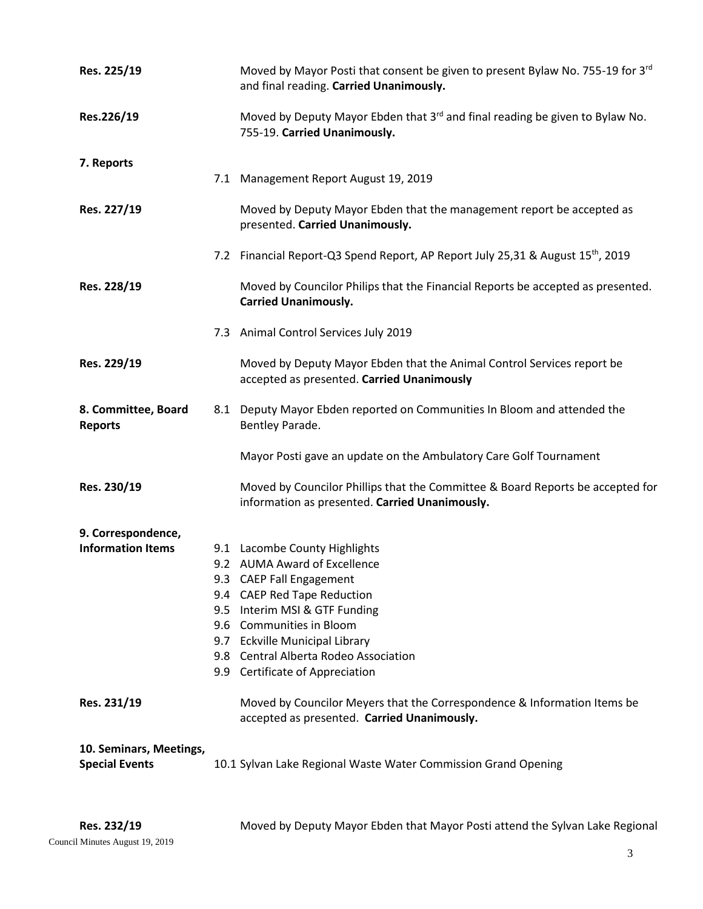| Res. 225/19                                      |     | Moved by Mayor Posti that consent be given to present Bylaw No. 755-19 for 3rd<br>and final reading. Carried Unanimously.        |
|--------------------------------------------------|-----|----------------------------------------------------------------------------------------------------------------------------------|
| Res.226/19                                       |     | Moved by Deputy Mayor Ebden that 3rd and final reading be given to Bylaw No.<br>755-19. Carried Unanimously.                     |
| 7. Reports                                       |     |                                                                                                                                  |
|                                                  |     | 7.1 Management Report August 19, 2019                                                                                            |
| Res. 227/19                                      |     | Moved by Deputy Mayor Ebden that the management report be accepted as<br>presented. Carried Unanimously.                         |
|                                                  |     | 7.2 Financial Report-Q3 Spend Report, AP Report July 25,31 & August 15 <sup>th</sup> , 2019                                      |
| Res. 228/19                                      |     | Moved by Councilor Philips that the Financial Reports be accepted as presented.<br><b>Carried Unanimously.</b>                   |
|                                                  |     | 7.3 Animal Control Services July 2019                                                                                            |
| Res. 229/19                                      |     | Moved by Deputy Mayor Ebden that the Animal Control Services report be<br>accepted as presented. Carried Unanimously             |
| 8. Committee, Board<br><b>Reports</b>            |     | 8.1 Deputy Mayor Ebden reported on Communities In Bloom and attended the<br>Bentley Parade.                                      |
|                                                  |     | Mayor Posti gave an update on the Ambulatory Care Golf Tournament                                                                |
| Res. 230/19                                      |     | Moved by Councilor Phillips that the Committee & Board Reports be accepted for<br>information as presented. Carried Unanimously. |
| 9. Correspondence,                               |     |                                                                                                                                  |
| <b>Information Items</b>                         |     | 9.1 Lacombe County Highlights                                                                                                    |
|                                                  |     | 9.2 AUMA Award of Excellence                                                                                                     |
|                                                  |     | 9.3 CAEP Fall Engagement                                                                                                         |
|                                                  | 9.5 | 9.4 CAEP Red Tape Reduction<br>Interim MSI & GTF Funding                                                                         |
|                                                  |     | 9.6 Communities in Bloom                                                                                                         |
|                                                  | 9.7 | <b>Eckville Municipal Library</b>                                                                                                |
|                                                  |     | 9.8 Central Alberta Rodeo Association                                                                                            |
|                                                  |     | 9.9 Certificate of Appreciation                                                                                                  |
| Res. 231/19                                      |     | Moved by Councilor Meyers that the Correspondence & Information Items be<br>accepted as presented. Carried Unanimously.          |
| 10. Seminars, Meetings,<br><b>Special Events</b> |     | 10.1 Sylvan Lake Regional Waste Water Commission Grand Opening                                                                   |
|                                                  |     |                                                                                                                                  |

Moved by Deputy Mayor Ebden that Mayor Posti attend the Sylvan Lake Regional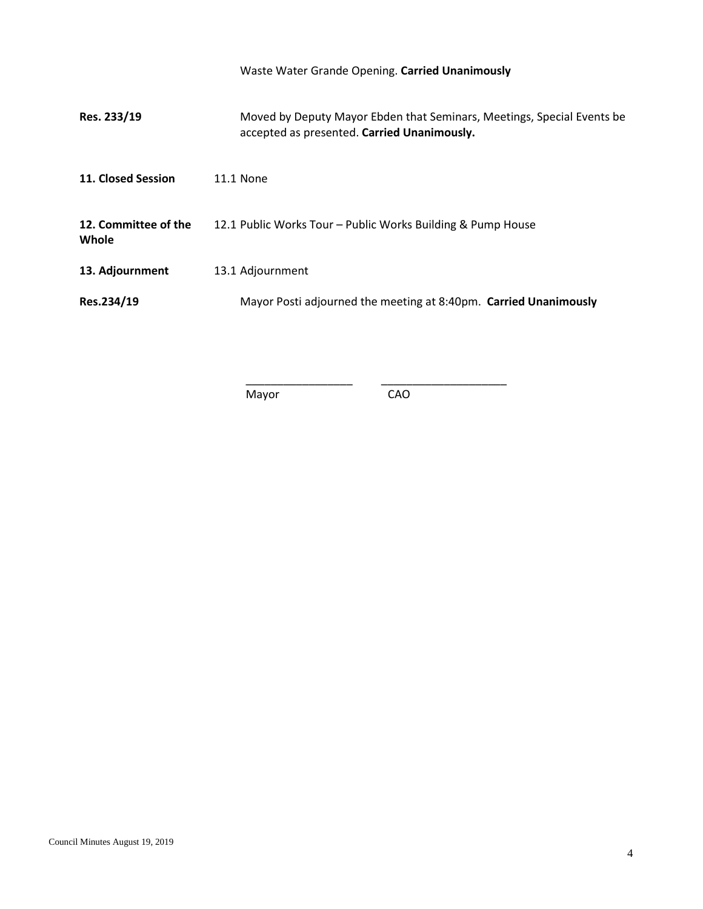|                               | Waste Water Grande Opening. Carried Unanimously                                                                       |
|-------------------------------|-----------------------------------------------------------------------------------------------------------------------|
| Res. 233/19                   | Moved by Deputy Mayor Ebden that Seminars, Meetings, Special Events be<br>accepted as presented. Carried Unanimously. |
| 11. Closed Session            | <b>11.1 None</b>                                                                                                      |
| 12. Committee of the<br>Whole | 12.1 Public Works Tour - Public Works Building & Pump House                                                           |
| 13. Adjournment               | 13.1 Adjournment                                                                                                      |
| Res.234/19                    | Mayor Posti adjourned the meeting at 8:40pm. Carried Unanimously                                                      |

Mayor CAO

\_\_\_\_\_\_\_\_\_\_\_\_\_\_\_\_\_ \_\_\_\_\_\_\_\_\_\_\_\_\_\_\_\_\_\_\_\_